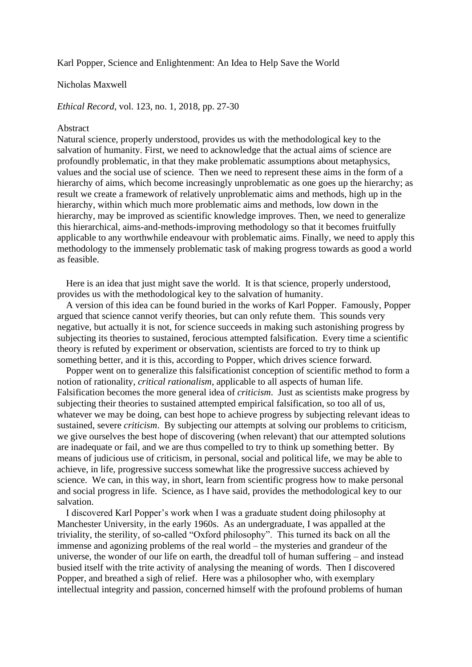Karl Popper, Science and Enlightenment: An Idea to Help Save the World

## Nicholas Maxwell

*Ethical Record*, vol. 123, no. 1, 2018, pp. 27-30

## Abstract

Natural science, properly understood, provides us with the methodological key to the salvation of humanity. First, we need to acknowledge that the actual aims of science are profoundly problematic, in that they make problematic assumptions about metaphysics, values and the social use of science. Then we need to represent these aims in the form of a hierarchy of aims, which become increasingly unproblematic as one goes up the hierarchy; as result we create a framework of relatively unproblematic aims and methods, high up in the hierarchy, within which much more problematic aims and methods, low down in the hierarchy, may be improved as scientific knowledge improves. Then, we need to generalize this hierarchical, aims-and-methods-improving methodology so that it becomes fruitfully applicable to any worthwhile endeavour with problematic aims. Finally, we need to apply this methodology to the immensely problematic task of making progress towards as good a world as feasible.

Here is an idea that just might save the world. It is that science, properly understood, provides us with the methodological key to the salvation of humanity.

A version of this idea can be found buried in the works of Karl Popper. Famously, Popper argued that science cannot verify theories, but can only refute them. This sounds very negative, but actually it is not, for science succeeds in making such astonishing progress by subjecting its theories to sustained, ferocious attempted falsification. Every time a scientific theory is refuted by experiment or observation, scientists are forced to try to think up something better, and it is this, according to Popper, which drives science forward.

Popper went on to generalize this falsificationist conception of scientific method to form a notion of rationality, *critical rationalism*, applicable to all aspects of human life. Falsification becomes the more general idea of *criticism*. Just as scientists make progress by subjecting their theories to sustained attempted empirical falsification, so too all of us, whatever we may be doing, can best hope to achieve progress by subjecting relevant ideas to sustained, severe *criticism*. By subjecting our attempts at solving our problems to criticism, we give ourselves the best hope of discovering (when relevant) that our attempted solutions are inadequate or fail, and we are thus compelled to try to think up something better. By means of judicious use of criticism, in personal, social and political life, we may be able to achieve, in life, progressive success somewhat like the progressive success achieved by science. We can, in this way, in short, learn from scientific progress how to make personal and social progress in life. Science, as I have said, provides the methodological key to our salvation.

I discovered Karl Popper's work when I was a graduate student doing philosophy at Manchester University, in the early 1960s. As an undergraduate, I was appalled at the triviality, the sterility, of so-called "Oxford philosophy". This turned its back on all the immense and agonizing problems of the real world – the mysteries and grandeur of the universe, the wonder of our life on earth, the dreadful toll of human suffering – and instead busied itself with the trite activity of analysing the meaning of words. Then I discovered Popper, and breathed a sigh of relief. Here was a philosopher who, with exemplary intellectual integrity and passion, concerned himself with the profound problems of human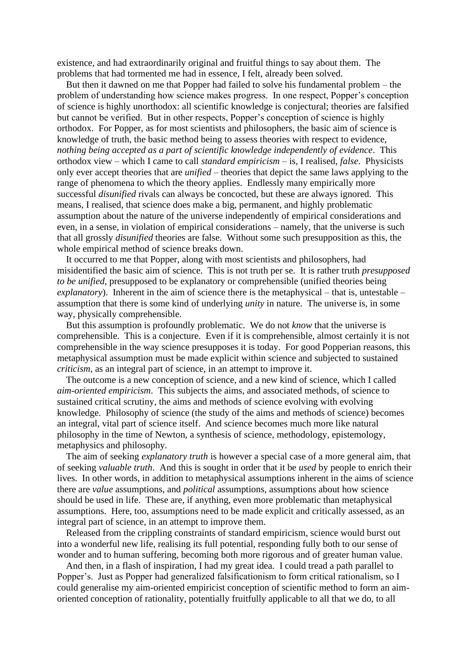existence, and had extraordinarily original and fruitful things to say about them. The problems that had tormented me had in essence, I felt, already been solved.

But then it dawned on me that Popper had failed to solve his fundamental problem – the problem of understanding how science makes progress. In one respect, Popper's conception of science is highly unorthodox: all scientific knowledge is conjectural; theories are falsified but cannot be verified. But in other respects, Popper's conception of science is highly orthodox. For Popper, as for most scientists and philosophers, the basic aim of science is knowledge of truth, the basic method being to assess theories with respect to evidence, *nothing being accepted as a part of scientific knowledge independently of evidence*. This orthodox view – which I came to call *standard empiricism* – is, I realised, *false*. Physicists only ever accept theories that are *unified* – theories that depict the same laws applying to the range of phenomena to which the theory applies. Endlessly many empirically more successful *disunified* rivals can always be concocted, but these are always ignored. This means, I realised, that science does make a big, permanent, and highly problematic assumption about the nature of the universe independently of empirical considerations and even, in a sense, in violation of empirical considerations – namely, that the universe is such that all grossly *disunified* theories are false. Without some such presupposition as this, the whole empirical method of science breaks down.

It occurred to me that Popper, along with most scientists and philosophers, had misidentified the basic aim of science. This is not truth per se. It is rather truth *presupposed to be unified*, presupposed to be explanatory or comprehensible (unified theories being *explanatory*). Inherent in the aim of science there is the metaphysical – that is, untestable – assumption that there is some kind of underlying *unity* in nature. The universe is, in some way, physically comprehensible.

But this assumption is profoundly problematic. We do not *know* that the universe is comprehensible. This is a conjecture. Even if it is comprehensible, almost certainly it is not comprehensible in the way science presupposes it is today. For good Popperian reasons, this metaphysical assumption must be made explicit within science and subjected to sustained *criticism*, as an integral part of science, in an attempt to improve it.

The outcome is a new conception of science, and a new kind of science, which I called *aim-oriented empiricism*. This subjects the aims, and associated methods, of science to sustained critical scrutiny, the aims and methods of science evolving with evolving knowledge. Philosophy of science (the study of the aims and methods of science) becomes an integral, vital part of science itself. And science becomes much more like natural philosophy in the time of Newton, a synthesis of science, methodology, epistemology, metaphysics and philosophy.

The aim of seeking *explanatory truth* is however a special case of a more general aim, that of seeking *valuable truth*. And this is sought in order that it be *used* by people to enrich their lives. In other words, in addition to metaphysical assumptions inherent in the aims of science there are *value* assumptions, and *political* assumptions, assumptions about how science should be used in life. These are, if anything, even more problematic than metaphysical assumptions. Here, too, assumptions need to be made explicit and critically assessed, as an integral part of science, in an attempt to improve them.

Released from the crippling constraints of standard empiricism, science would burst out into a wonderful new life, realising its full potential, responding fully both to our sense of wonder and to human suffering, becoming both more rigorous and of greater human value.

And then, in a flash of inspiration, I had my great idea. I could tread a path parallel to Popper's. Just as Popper had generalized falsificationism to form critical rationalism, so I could generalise my aim-oriented empiricist conception of scientific method to form an aimoriented conception of rationality, potentially fruitfully applicable to all that we do, to all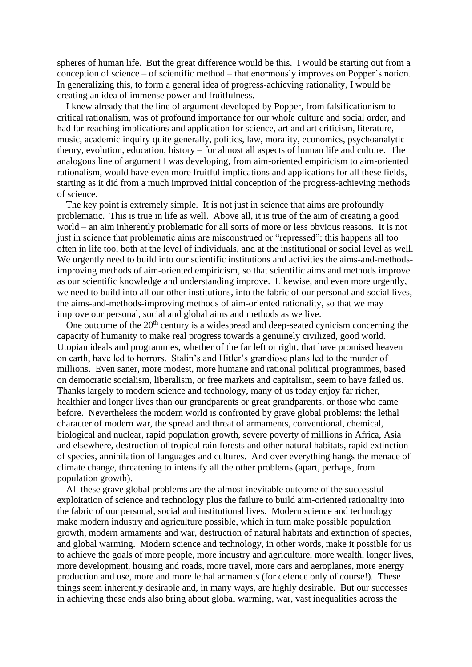spheres of human life. But the great difference would be this. I would be starting out from a conception of science – of scientific method – that enormously improves on Popper's notion. In generalizing this, to form a general idea of progress-achieving rationality, I would be creating an idea of immense power and fruitfulness.

I knew already that the line of argument developed by Popper, from falsificationism to critical rationalism, was of profound importance for our whole culture and social order, and had far-reaching implications and application for science, art and art criticism, literature, music, academic inquiry quite generally, politics, law, morality, economics, psychoanalytic theory, evolution, education, history – for almost all aspects of human life and culture. The analogous line of argument I was developing, from aim-oriented empiricism to aim-oriented rationalism, would have even more fruitful implications and applications for all these fields, starting as it did from a much improved initial conception of the progress-achieving methods of science.

The key point is extremely simple. It is not just in science that aims are profoundly problematic. This is true in life as well. Above all, it is true of the aim of creating a good world – an aim inherently problematic for all sorts of more or less obvious reasons. It is not just in science that problematic aims are misconstrued or "repressed"; this happens all too often in life too, both at the level of individuals, and at the institutional or social level as well. We urgently need to build into our scientific institutions and activities the aims-and-methodsimproving methods of aim-oriented empiricism, so that scientific aims and methods improve as our scientific knowledge and understanding improve. Likewise, and even more urgently, we need to build into all our other institutions, into the fabric of our personal and social lives, the aims-and-methods-improving methods of aim-oriented rationality, so that we may improve our personal, social and global aims and methods as we live.

One outcome of the  $20<sup>th</sup>$  century is a widespread and deep-seated cynicism concerning the capacity of humanity to make real progress towards a genuinely civilized, good world. Utopian ideals and programmes, whether of the far left or right, that have promised heaven on earth, have led to horrors. Stalin's and Hitler's grandiose plans led to the murder of millions. Even saner, more modest, more humane and rational political programmes, based on democratic socialism, liberalism, or free markets and capitalism, seem to have failed us. Thanks largely to modern science and technology, many of us today enjoy far richer, healthier and longer lives than our grandparents or great grandparents, or those who came before. Nevertheless the modern world is confronted by grave global problems: the lethal character of modern war, the spread and threat of armaments, conventional, chemical, biological and nuclear, rapid population growth, severe poverty of millions in Africa, Asia and elsewhere, destruction of tropical rain forests and other natural habitats, rapid extinction of species, annihilation of languages and cultures. And over everything hangs the menace of climate change, threatening to intensify all the other problems (apart, perhaps, from population growth).

All these grave global problems are the almost inevitable outcome of the successful exploitation of science and technology plus the failure to build aim-oriented rationality into the fabric of our personal, social and institutional lives. Modern science and technology make modern industry and agriculture possible, which in turn make possible population growth, modern armaments and war, destruction of natural habitats and extinction of species, and global warming. Modern science and technology, in other words, make it possible for us to achieve the goals of more people, more industry and agriculture, more wealth, longer lives, more development, housing and roads, more travel, more cars and aeroplanes, more energy production and use, more and more lethal armaments (for defence only of course!). These things seem inherently desirable and, in many ways, are highly desirable. But our successes in achieving these ends also bring about global warming, war, vast inequalities across the